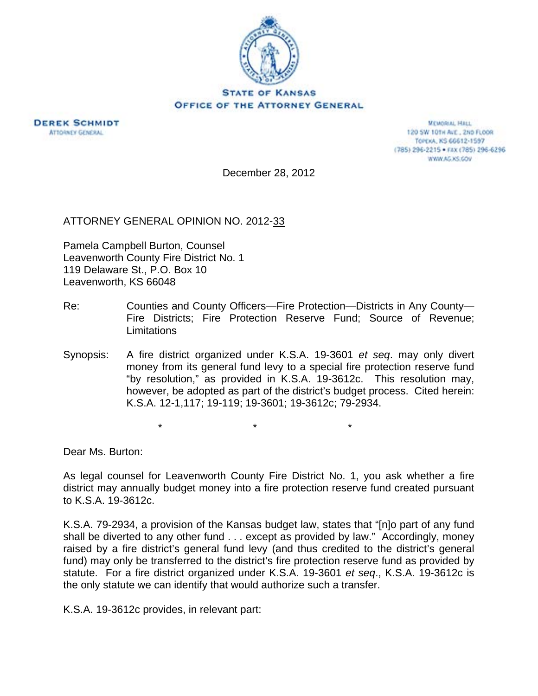



**MEMORIAL HALL** 120 SW 101H ALE., 2ND FLOOR TOPEXA, KS 66612-1597 (785) 296-2215 · FAX (785) 296-6296 WWW.AG.KS.GOV

December 28, 2012

ATTORNEY GENERAL OPINION NO. 2012-33

Pamela Campbell Burton, Counsel Leavenworth County Fire District No. 1 119 Delaware St., P.O. Box 10 Leavenworth, KS 66048

- Re: Counties and County Officers—Fire Protection—Districts in Any County— Fire Districts; Fire Protection Reserve Fund; Source of Revenue; **Limitations**
- Synopsis: A fire district organized under K.S.A. 19-3601 *et seq*. may only divert money from its general fund levy to a special fire protection reserve fund "by resolution," as provided in K.S.A. 19-3612c. This resolution may, however, be adopted as part of the district's budget process. Cited herein: K.S.A. 12-1,117; 19-119; 19-3601; 19-3612c; 79-2934.

 $\star$   $\star$   $\star$ 

Dear Ms. Burton:

As legal counsel for Leavenworth County Fire District No. 1, you ask whether a fire district may annually budget money into a fire protection reserve fund created pursuant to K.S.A. 19-3612c.

K.S.A. 79-2934, a provision of the Kansas budget law, states that "[n]o part of any fund shall be diverted to any other fund . . . except as provided by law." Accordingly, money raised by a fire district's general fund levy (and thus credited to the district's general fund) may only be transferred to the district's fire protection reserve fund as provided by statute. For a fire district organized under K.S.A. 19-3601 *et seq*., K.S.A. 19-3612c is the only statute we can identify that would authorize such a transfer.

K.S.A. 19-3612c provides, in relevant part: